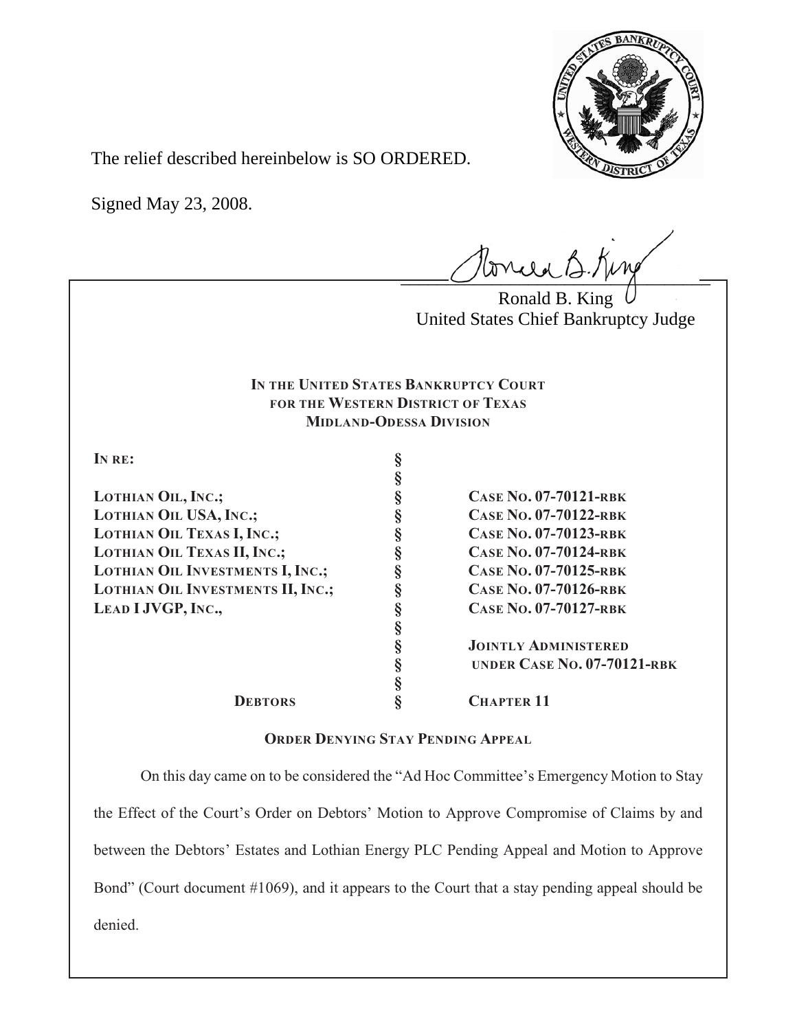

The relief described hereinbelow is SO ORDERED.

Signed May 23, 2008.

Ponced B. King

Ronald B. King United States Chief Bankruptcy Judge

## **IN THE UNITED STATES BANKRUPTCY COURT FOR THE WESTERN DISTRICT OF TEXAS MIDLAND-ODESSA DIVISION**

**§**

**IN RE: §**

**s C**ASE **NO.** 07-70121-RBK **LOTHIAN OIL USA, INC.; § CASE NO. 07-70122-RBK LOTHIAN OIL TEXAS I, INC.;**<br> **S CASE NO. 07-70123-RBK**<br> **CASE NO. 07-70124-RBK LOTHIAN OIL TEXAS II,INC.; § CASE NO. 07-70124-RBK LOTHIAN OIL INVESTMENTS I, INC.;§CASE NO. 07-70125-RBK LOTHIAN OIL INVESTMENTS II,INC.; § CASE NO. 07-70126-RBK S CASE NO. 07-70127-RBK** 

**§ JOINTLY ADMINISTERED**

**§ UNDER CASE NO. 07-70121-RBK**

**DEBTORS § CHAPTER 11**

## **ORDER DENYING STAY PENDING APPEAL**

**§**

**§**

On this day came on to be considered the "Ad Hoc Committee's Emergency Motion to Stay the Effect of the Court's Order on Debtors' Motion to Approve Compromise of Claims by and between the Debtors' Estates and Lothian Energy PLC Pending Appeal and Motion to Approve Bond" (Court document #1069), and it appears to the Court that a stay pending appeal should be denied.